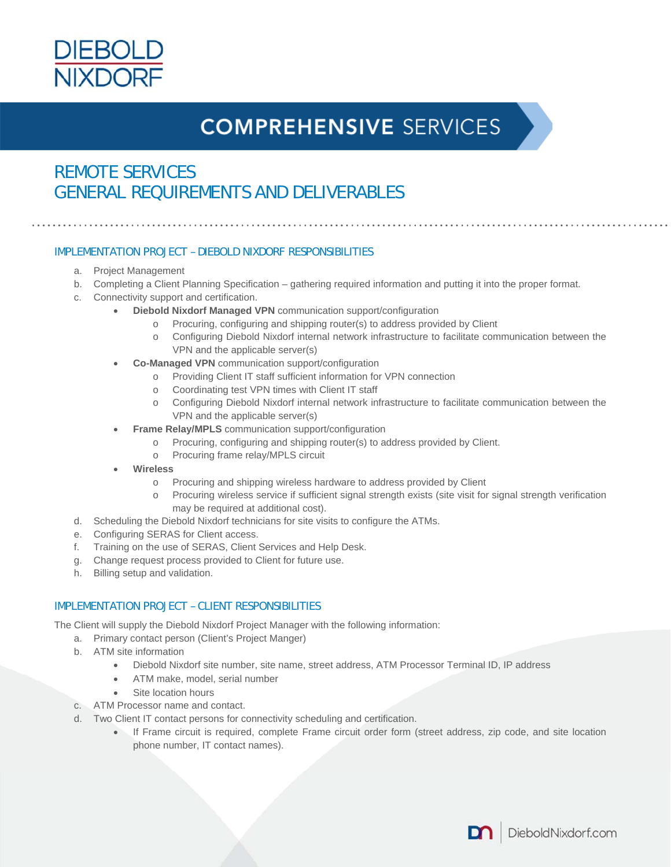

# **COMPREHENSIVE SERVICES**

### REMOTE SERVICES GENERAL REQUIREMENTS AND DELIVERABLES

#### IMPLEMENTATION PROJECT – DIEBOLD NIXDORF RESPONSIBILITIES

- a. Project Management
- b. Completing a Client Planning Specification gathering required information and putting it into the proper format.
- c. Connectivity support and certification.
	- **Diebold Nixdorf Managed VPN** communication support/configuration
		- o Procuring, configuring and shipping router(s) to address provided by Client
		- o Configuring Diebold Nixdorf internal network infrastructure to facilitate communication between the VPN and the applicable server(s)
	- **Co-Managed VPN** communication support/configuration
		- o Providing Client IT staff sufficient information for VPN connection
		- o Coordinating test VPN times with Client IT staff
		- o Configuring Diebold Nixdorf internal network infrastructure to facilitate communication between the VPN and the applicable server(s)
	- **Frame Relay/MPLS** communication support/configuration
		- o Procuring, configuring and shipping router(s) to address provided by Client.
		- o Procuring frame relay/MPLS circuit
	- **Wireless** 
		- o Procuring and shipping wireless hardware to address provided by Client
		- o Procuring wireless service if sufficient signal strength exists (site visit for signal strength verification may be required at additional cost).
- d. Scheduling the Diebold Nixdorf technicians for site visits to configure the ATMs.
- e. Configuring SERAS for Client access.
- f. Training on the use of SERAS, Client Services and Help Desk.
- g. Change request process provided to Client for future use.
- h. Billing setup and validation.

### IMPLEMENTATION PROJECT – CLIENT RESPONSIBILITIES

The Client will supply the Diebold Nixdorf Project Manager with the following information:

- a. Primary contact person (Client's Project Manger)
- b. ATM site information
	- Diebold Nixdorf site number, site name, street address, ATM Processor Terminal ID, IP address
	- ATM make, model, serial number
	- Site location hours
- c. ATM Processor name and contact.
- d. Two Client IT contact persons for connectivity scheduling and certification.
	- If Frame circuit is required, complete Frame circuit order form (street address, zip code, and site location phone number, IT contact names).